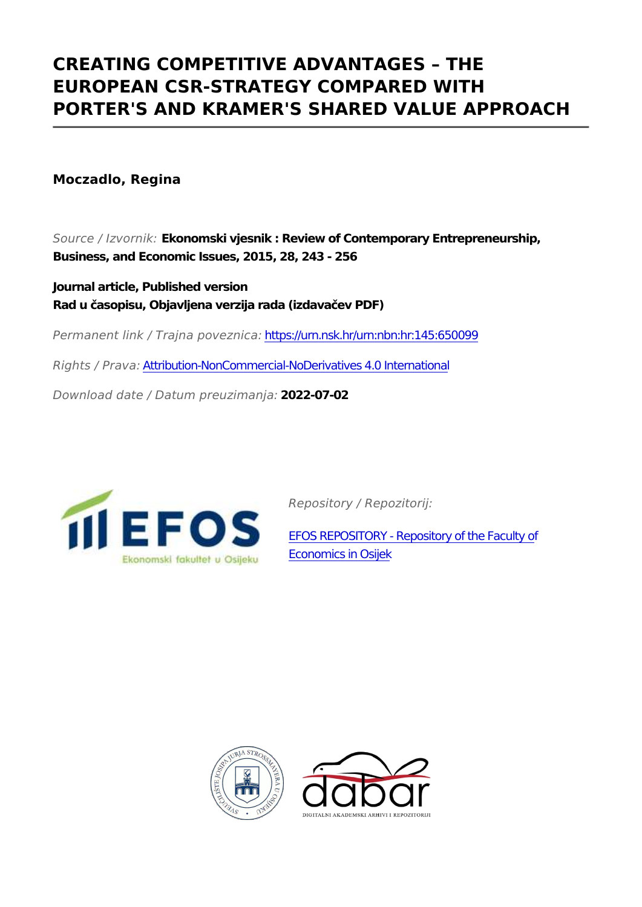## **CREATING COMPETITIVE ADVANTAGES – THE EUROPEAN CSR-STRATEGY COMPARED WITH PORTER'S AND KRAMER'S SHARED VALUE APPROACH**

**Moczadlo, Regina**

*Source / Izvornik:* **Ekonomski vjesnik : Review of Contemporary Entrepreneurship, Business, and Economic Issues, 2015, 28, 243 - 256**

**Journal article, Published version Rad u časopisu, Objavljena verzija rada (izdavačev PDF)**

*Permanent link / Trajna poveznica:* <https://urn.nsk.hr/urn:nbn:hr:145:650099>

*Rights / Prava:* [Attribution-NonCommercial-NoDerivatives 4.0 International](http://creativecommons.org/licenses/by-nc-nd/4.0/)

*Download date / Datum preuzimanja:* **2022-07-02**



*Repository / Repozitorij:*

[EFOS REPOSITORY - Repository of the Faculty o](https://repozitorij.efos.hr)f [Economics in Osijek](https://repozitorij.efos.hr)



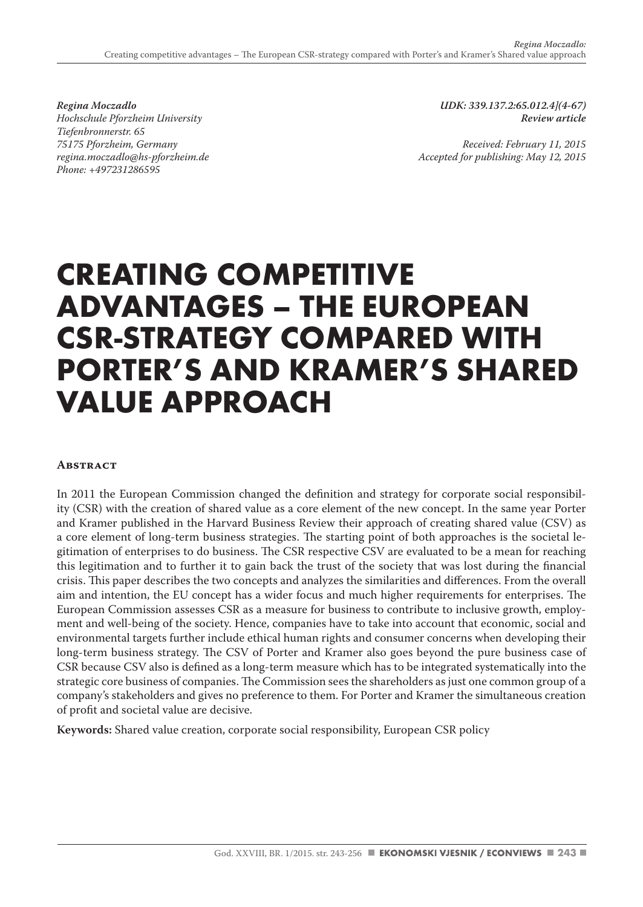*Regina Moczadlo Hochschule Pforzheim University Tiefenbronnerstr. 65 75175 Pforzheim, Germany regina.moczadlo@hs-pforzheim.de Phone: +497231286595*

*UDK: 339.137.2:65.012.4](4-67) Review article* 

*Received: February 11, 2015 Accepted for publishing: May 12, 2015*

# **CREATING COMPETITIVE ADVANTAGES – THE EUROPEAN CSR-STRATEGY COMPARED WITH PORTER'S AND KRAMER'S SHARED VALUE APPROACH**

#### **Abstract**

In 2011 the European Commission changed the definition and strategy for corporate social responsibility (CSR) with the creation of shared value as a core element of the new concept. In the same year Porter and Kramer published in the Harvard Business Review their approach of creating shared value (CSV) as a core element of long-term business strategies. The starting point of both approaches is the societal legitimation of enterprises to do business. The CSR respective CSV are evaluated to be a mean for reaching this legitimation and to further it to gain back the trust of the society that was lost during the financial crisis. This paper describes the two concepts and analyzes the similarities and differences. From the overall aim and intention, the EU concept has a wider focus and much higher requirements for enterprises. The European Commission assesses CSR as a measure for business to contribute to inclusive growth, employment and well-being of the society. Hence, companies have to take into account that economic, social and environmental targets further include ethical human rights and consumer concerns when developing their long-term business strategy. The CSV of Porter and Kramer also goes beyond the pure business case of CSR because CSV also is defined as a long-term measure which has to be integrated systematically into the strategic core business of companies. The Commission sees the shareholders as just one common group of a company's stakeholders and gives no preference to them. For Porter and Kramer the simultaneous creation of profit and societal value are decisive.

**Keywords:** Shared value creation, corporate social responsibility, European CSR policy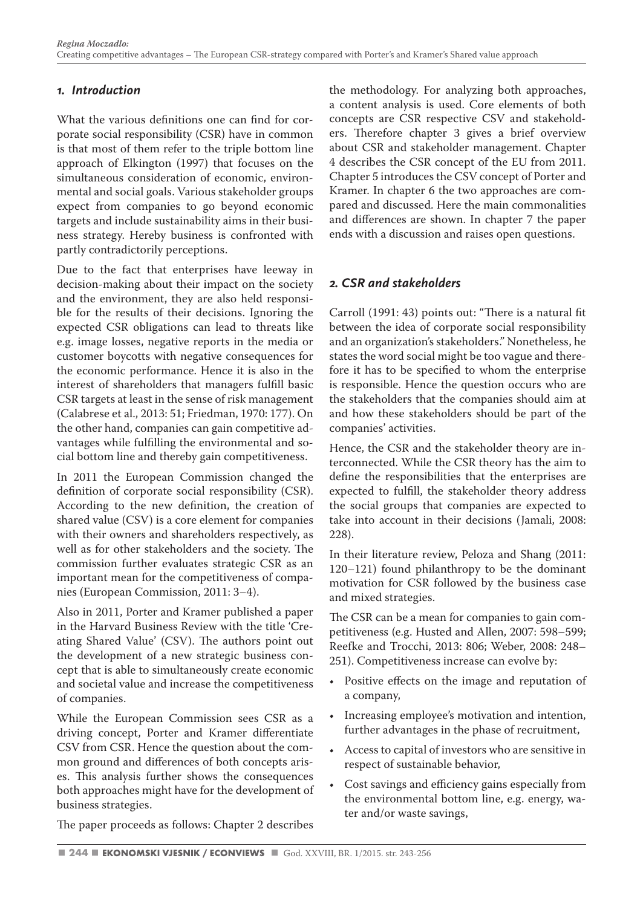#### *1. Introduction*

What the various definitions one can find for corporate social responsibility (CSR) have in common is that most of them refer to the triple bottom line approach of Elkington (1997) that focuses on the simultaneous consideration of economic, environmental and social goals. Various stakeholder groups expect from companies to go beyond economic targets and include sustainability aims in their business strategy. Hereby business is confronted with partly contradictorily perceptions.

Due to the fact that enterprises have leeway in decision-making about their impact on the society and the environment, they are also held responsible for the results of their decisions. Ignoring the expected CSR obligations can lead to threats like e.g. image losses, negative reports in the media or customer boycotts with negative consequences for the economic performance. Hence it is also in the interest of shareholders that managers fulfill basic CSR targets at least in the sense of risk management (Calabrese et al., 2013: 51; Friedman, 1970: 177). On the other hand, companies can gain competitive advantages while fulfilling the environmental and social bottom line and thereby gain competitiveness.

In 2011 the European Commission changed the definition of corporate social responsibility (CSR). According to the new definition, the creation of shared value (CSV) is a core element for companies with their owners and shareholders respectively, as well as for other stakeholders and the society. The commission further evaluates strategic CSR as an important mean for the competitiveness of companies (European Commission, 2011: 3–4).

Also in 2011, Porter and Kramer published a paper in the Harvard Business Review with the title 'Creating Shared Value' (CSV). The authors point out the development of a new strategic business concept that is able to simultaneously create economic and societal value and increase the competitiveness of companies.

While the European Commission sees CSR as a driving concept, Porter and Kramer differentiate CSV from CSR. Hence the question about the common ground and differences of both concepts arises. This analysis further shows the consequences both approaches might have for the development of business strategies.

The paper proceeds as follows: Chapter 2 describes

the methodology. For analyzing both approaches, a content analysis is used. Core elements of both concepts are CSR respective CSV and stakeholders. Therefore chapter 3 gives a brief overview about CSR and stakeholder management. Chapter 4 describes the CSR concept of the EU from 2011. Chapter 5 introduces the CSV concept of Porter and Kramer. In chapter 6 the two approaches are compared and discussed. Here the main commonalities and differences are shown. In chapter 7 the paper ends with a discussion and raises open questions.

#### *2. CSR and stakeholders*

Carroll (1991: 43) points out: "There is a natural fit between the idea of corporate social responsibility and an organization's stakeholders." Nonetheless, he states the word social might be too vague and therefore it has to be specified to whom the enterprise is responsible. Hence the question occurs who are the stakeholders that the companies should aim at and how these stakeholders should be part of the companies' activities.

Hence, the CSR and the stakeholder theory are interconnected. While the CSR theory has the aim to define the responsibilities that the enterprises are expected to fulfill, the stakeholder theory address the social groups that companies are expected to take into account in their decisions (Jamali, 2008: 228).

In their literature review, Peloza and Shang (2011: 120–121) found philanthropy to be the dominant motivation for CSR followed by the business case and mixed strategies.

The CSR can be a mean for companies to gain competitiveness (e.g. Husted and Allen, 2007: 598–599; Reefke and Trocchi, 2013: 806; Weber, 2008: 248– 251). Competitiveness increase can evolve by:

- Positive effects on the image and reputation of a company,
- Increasing employee's motivation and intention, further advantages in the phase of recruitment,
- Access to capital of investors who are sensitive in respect of sustainable behavior,
- Cost savings and efficiency gains especially from the environmental bottom line, e.g. energy, water and/or waste savings,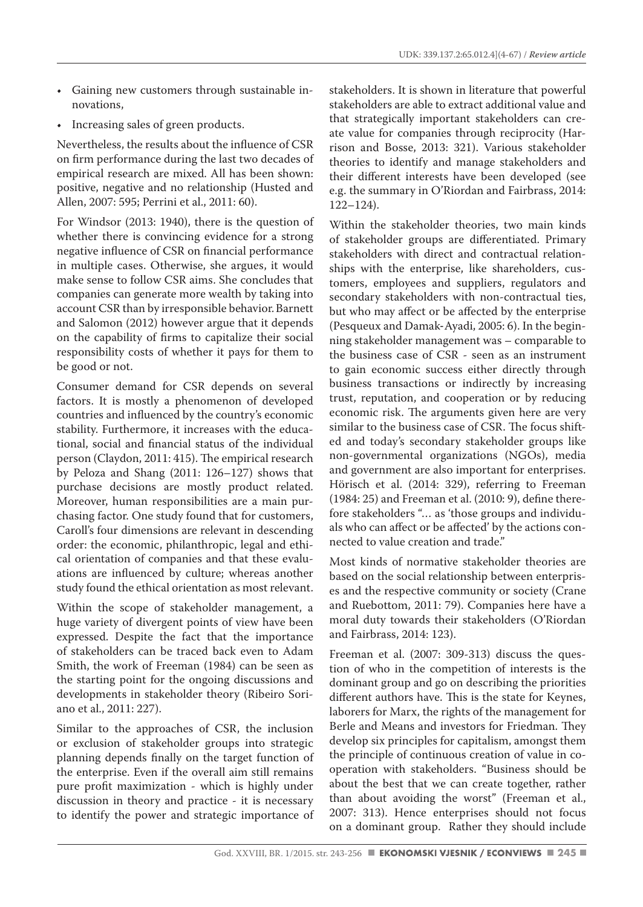- Gaining new customers through sustainable innovations,
- Increasing sales of green products.

Nevertheless, the results about the influence of CSR on firm performance during the last two decades of empirical research are mixed. All has been shown: positive, negative and no relationship (Husted and Allen, 2007: 595; Perrini et al., 2011: 60).

For Windsor (2013: 1940), there is the question of whether there is convincing evidence for a strong negative influence of CSR on financial performance in multiple cases. Otherwise, she argues, it would make sense to follow CSR aims. She concludes that companies can generate more wealth by taking into account CSR than by irresponsible behavior. Barnett and Salomon (2012) however argue that it depends on the capability of firms to capitalize their social responsibility costs of whether it pays for them to be good or not.

Consumer demand for CSR depends on several factors. It is mostly a phenomenon of developed countries and influenced by the country's economic stability. Furthermore, it increases with the educational, social and financial status of the individual person (Claydon, 2011: 415). The empirical research by Peloza and Shang (2011: 126–127) shows that purchase decisions are mostly product related. Moreover, human responsibilities are a main purchasing factor. One study found that for customers, Caroll's four dimensions are relevant in descending order: the economic, philanthropic, legal and ethical orientation of companies and that these evaluations are influenced by culture; whereas another study found the ethical orientation as most relevant.

Within the scope of stakeholder management, a huge variety of divergent points of view have been expressed. Despite the fact that the importance of stakeholders can be traced back even to Adam Smith, the work of Freeman (1984) can be seen as the starting point for the ongoing discussions and developments in stakeholder theory (Ribeiro Soriano et al., 2011: 227).

Similar to the approaches of CSR, the inclusion or exclusion of stakeholder groups into strategic planning depends finally on the target function of the enterprise. Even if the overall aim still remains pure profit maximization - which is highly under discussion in theory and practice - it is necessary to identify the power and strategic importance of stakeholders. It is shown in literature that powerful stakeholders are able to extract additional value and that strategically important stakeholders can create value for companies through reciprocity (Harrison and Bosse, 2013: 321). Various stakeholder theories to identify and manage stakeholders and their different interests have been developed (see e.g. the summary in O'Riordan and Fairbrass, 2014: 122–124).

Within the stakeholder theories, two main kinds of stakeholder groups are differentiated. Primary stakeholders with direct and contractual relationships with the enterprise, like shareholders, customers, employees and suppliers, regulators and secondary stakeholders with non-contractual ties, but who may affect or be affected by the enterprise (Pesqueux and Damak‐Ayadi, 2005: 6). In the beginning stakeholder management was – comparable to the business case of CSR - seen as an instrument to gain economic success either directly through business transactions or indirectly by increasing trust, reputation, and cooperation or by reducing economic risk. The arguments given here are very similar to the business case of CSR. The focus shifted and today's secondary stakeholder groups like non-governmental organizations (NGOs), media and government are also important for enterprises. Hörisch et al. (2014: 329), referring to Freeman (1984: 25) and Freeman et al. (2010: 9), define therefore stakeholders "… as 'those groups and individuals who can affect or be affected' by the actions connected to value creation and trade."

Most kinds of normative stakeholder theories are based on the social relationship between enterprises and the respective community or society (Crane and Ruebottom, 2011: 79). Companies here have a moral duty towards their stakeholders (O'Riordan and Fairbrass, 2014: 123).

Freeman et al. (2007: 309-313) discuss the question of who in the competition of interests is the dominant group and go on describing the priorities different authors have. This is the state for Keynes, laborers for Marx, the rights of the management for Berle and Means and investors for Friedman. They develop six principles for capitalism, amongst them the principle of continuous creation of value in cooperation with stakeholders. "Business should be about the best that we can create together, rather than about avoiding the worst" (Freeman et al., 2007: 313). Hence enterprises should not focus on a dominant group. Rather they should include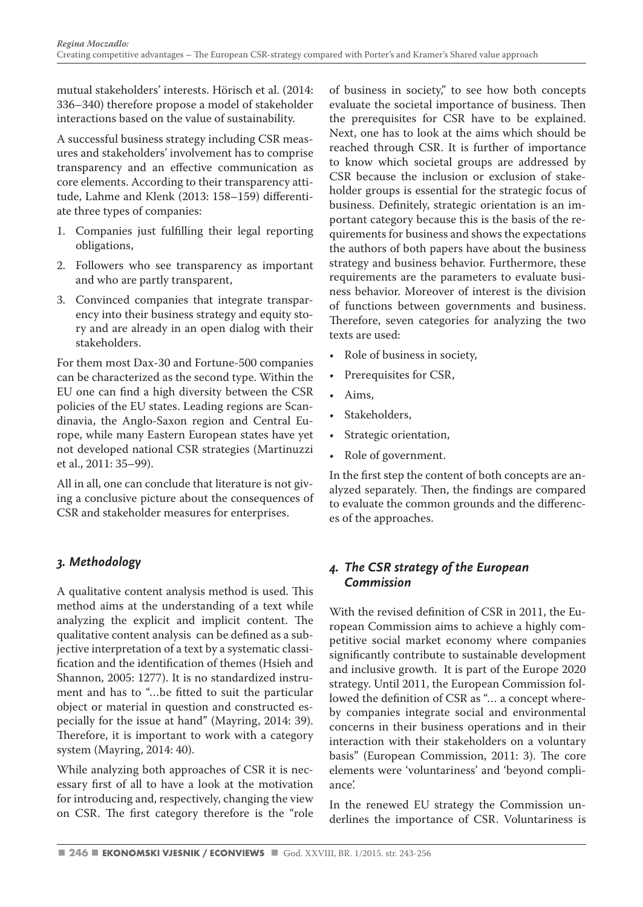mutual stakeholders' interests. Hörisch et al. (2014: 336–340) therefore propose a model of stakeholder interactions based on the value of sustainability.

A successful business strategy including CSR measures and stakeholders' involvement has to comprise transparency and an effective communication as core elements. According to their transparency attitude, Lahme and Klenk (2013: 158–159) differentiate three types of companies:

- 1. Companies just fulfilling their legal reporting obligations,
- 2. Followers who see transparency as important and who are partly transparent,
- 3. Convinced companies that integrate transparency into their business strategy and equity story and are already in an open dialog with their stakeholders.

For them most Dax-30 and Fortune-500 companies can be characterized as the second type. Within the EU one can find a high diversity between the CSR policies of the EU states. Leading regions are Scandinavia, the Anglo-Saxon region and Central Europe, while many Eastern European states have yet not developed national CSR strategies (Martinuzzi et al., 2011: 35–99).

All in all, one can conclude that literature is not giving a conclusive picture about the consequences of CSR and stakeholder measures for enterprises.

#### *3. Methodology*

A qualitative content analysis method is used. This method aims at the understanding of a text while analyzing the explicit and implicit content. The qualitative content analysis can be defined as a subjective interpretation of a text by a systematic classification and the identification of themes (Hsieh and Shannon, 2005: 1277). It is no standardized instrument and has to "…be fitted to suit the particular object or material in question and constructed especially for the issue at hand" (Mayring, 2014: 39). Therefore, it is important to work with a category system (Mayring, 2014: 40).

While analyzing both approaches of CSR it is necessary first of all to have a look at the motivation for introducing and, respectively, changing the view on CSR. The first category therefore is the "role of business in society," to see how both concepts evaluate the societal importance of business. Then the prerequisites for CSR have to be explained. Next, one has to look at the aims which should be reached through CSR. It is further of importance to know which societal groups are addressed by CSR because the inclusion or exclusion of stakeholder groups is essential for the strategic focus of business. Definitely, strategic orientation is an important category because this is the basis of the requirements for business and shows the expectations the authors of both papers have about the business strategy and business behavior. Furthermore, these requirements are the parameters to evaluate business behavior. Moreover of interest is the division of functions between governments and business. Therefore, seven categories for analyzing the two texts are used:

- Role of business in society,
- Prerequisites for CSR,
- Aims,
- Stakeholders.
- Strategic orientation,
- Role of government.

In the first step the content of both concepts are analyzed separately. Then, the findings are compared to evaluate the common grounds and the differences of the approaches.

#### *4. The CSR strategy of the European Commission*

With the revised definition of CSR in 2011, the European Commission aims to achieve a highly competitive social market economy where companies significantly contribute to sustainable development and inclusive growth. It is part of the Europe 2020 strategy. Until 2011, the European Commission followed the definition of CSR as "… a concept whereby companies integrate social and environmental concerns in their business operations and in their interaction with their stakeholders on a voluntary basis" (European Commission, 2011: 3). The core elements were 'voluntariness' and 'beyond compliance'.

In the renewed EU strategy the Commission underlines the importance of CSR. Voluntariness is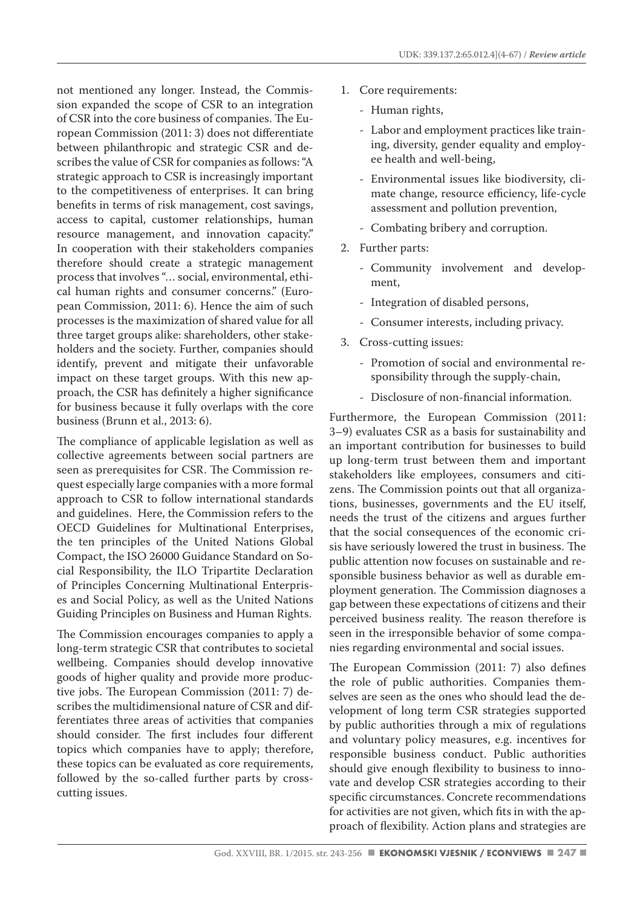not mentioned any longer. Instead, the Commission expanded the scope of CSR to an integration of CSR into the core business of companies. The European Commission (2011: 3) does not differentiate between philanthropic and strategic CSR and describes the value of CSR for companies as follows: "A strategic approach to CSR is increasingly important to the competitiveness of enterprises. It can bring benefits in terms of risk management, cost savings, access to capital, customer relationships, human resource management, and innovation capacity." In cooperation with their stakeholders companies therefore should create a strategic management process that involves "… social, environmental, ethical human rights and consumer concerns." (European Commission, 2011: 6). Hence the aim of such processes is the maximization of shared value for all three target groups alike: shareholders, other stakeholders and the society. Further, companies should identify, prevent and mitigate their unfavorable impact on these target groups. With this new approach, the CSR has definitely a higher significance for business because it fully overlaps with the core business (Brunn et al., 2013: 6).

The compliance of applicable legislation as well as collective agreements between social partners are seen as prerequisites for CSR. The Commission request especially large companies with a more formal approach to CSR to follow international standards and guidelines. Here, the Commission refers to the OECD Guidelines for Multinational Enterprises, the ten principles of the United Nations Global Compact, the ISO 26000 Guidance Standard on Social Responsibility, the ILO Tripartite Declaration of Principles Concerning Multinational Enterprises and Social Policy, as well as the United Nations Guiding Principles on Business and Human Rights.

The Commission encourages companies to apply a long-term strategic CSR that contributes to societal wellbeing. Companies should develop innovative goods of higher quality and provide more productive jobs. The European Commission (2011: 7) describes the multidimensional nature of CSR and differentiates three areas of activities that companies should consider. The first includes four different topics which companies have to apply; therefore, these topics can be evaluated as core requirements, followed by the so-called further parts by crosscutting issues.

- 1. Core requirements:
	- Human rights,
	- Labor and employment practices like training, diversity, gender equality and employee health and well-being,
	- Environmental issues like biodiversity, climate change, resource efficiency, life-cycle assessment and pollution prevention,
	- Combating bribery and corruption.
- 2. Further parts:
	- Community involvement and development,
	- Integration of disabled persons,
	- Consumer interests, including privacy.
- 3. Cross-cutting issues:
	- Promotion of social and environmental responsibility through the supply-chain,
	- Disclosure of non-financial information.

Furthermore, the European Commission (2011: 3–9) evaluates CSR as a basis for sustainability and an important contribution for businesses to build up long-term trust between them and important stakeholders like employees, consumers and citizens. The Commission points out that all organizations, businesses, governments and the EU itself, needs the trust of the citizens and argues further that the social consequences of the economic crisis have seriously lowered the trust in business. The public attention now focuses on sustainable and responsible business behavior as well as durable employment generation. The Commission diagnoses a gap between these expectations of citizens and their perceived business reality. The reason therefore is seen in the irresponsible behavior of some companies regarding environmental and social issues.

The European Commission (2011: 7) also defines the role of public authorities. Companies themselves are seen as the ones who should lead the development of long term CSR strategies supported by public authorities through a mix of regulations and voluntary policy measures, e.g. incentives for responsible business conduct. Public authorities should give enough flexibility to business to innovate and develop CSR strategies according to their specific circumstances. Concrete recommendations for activities are not given, which fits in with the approach of flexibility. Action plans and strategies are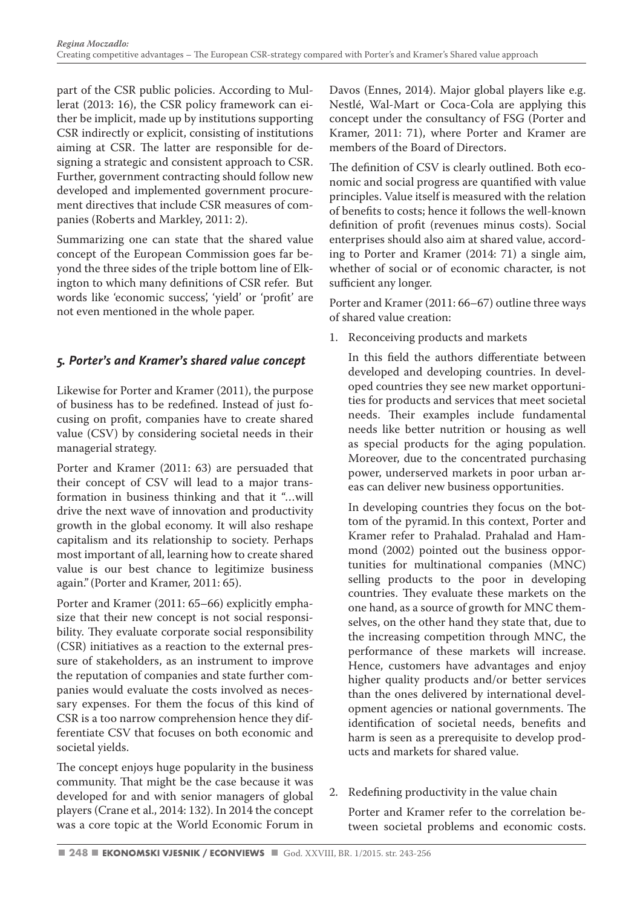part of the CSR public policies. According to Mullerat (2013: 16), the CSR policy framework can either be implicit, made up by institutions supporting CSR indirectly or explicit, consisting of institutions aiming at CSR. The latter are responsible for designing a strategic and consistent approach to CSR. Further, government contracting should follow new developed and implemented government procurement directives that include CSR measures of companies (Roberts and Markley, 2011: 2).

Summarizing one can state that the shared value concept of the European Commission goes far beyond the three sides of the triple bottom line of Elkington to which many definitions of CSR refer. But words like 'economic success', 'yield' or 'profit' are not even mentioned in the whole paper.

#### *5. Porter's and Kramer's shared value concept*

Likewise for Porter and Kramer (2011), the purpose of business has to be redefined. Instead of just focusing on profit, companies have to create shared value (CSV) by considering societal needs in their managerial strategy.

Porter and Kramer (2011: 63) are persuaded that their concept of CSV will lead to a major transformation in business thinking and that it "…will drive the next wave of innovation and productivity growth in the global economy. It will also reshape capitalism and its relationship to society. Perhaps most important of all, learning how to create shared value is our best chance to legitimize business again."(Porter and Kramer, 2011: 65).

Porter and Kramer (2011: 65–66) explicitly emphasize that their new concept is not social responsibility. They evaluate corporate social responsibility (CSR) initiatives as a reaction to the external pressure of stakeholders, as an instrument to improve the reputation of companies and state further companies would evaluate the costs involved as necessary expenses. For them the focus of this kind of CSR is a too narrow comprehension hence they differentiate CSV that focuses on both economic and societal yields.

The concept enjoys huge popularity in the business community. That might be the case because it was developed for and with senior managers of global players (Crane et al., 2014: 132). In 2014 the concept was a core topic at the World Economic Forum in Davos (Ennes, 2014). Major global players like e.g. Nestlé, Wal-Mart or Coca-Cola are applying this concept under the consultancy of FSG (Porter and Kramer, 2011: 71), where Porter and Kramer are members of the Board of Directors.

The definition of CSV is clearly outlined. Both economic and social progress are quantified with value principles. Value itself is measured with the relation of benefits to costs; hence it follows the well-known definition of profit (revenues minus costs). Social enterprises should also aim at shared value, according to Porter and Kramer (2014: 71) a single aim, whether of social or of economic character, is not sufficient any longer.

Porter and Kramer (2011: 66–67) outline three ways of shared value creation:

1. Reconceiving products and markets

In this field the authors differentiate between developed and developing countries. In developed countries they see new market opportunities for products and services that meet societal needs. Their examples include fundamental needs like better nutrition or housing as well as special products for the aging population. Moreover, due to the concentrated purchasing power, underserved markets in poor urban areas can deliver new business opportunities.

In developing countries they focus on the bottom of the pyramid. In this context, Porter and Kramer refer to Prahalad. Prahalad and Hammond (2002) pointed out the business opportunities for multinational companies (MNC) selling products to the poor in developing countries. They evaluate these markets on the one hand, as a source of growth for MNC themselves, on the other hand they state that, due to the increasing competition through MNC, the performance of these markets will increase. Hence, customers have advantages and enjoy higher quality products and/or better services than the ones delivered by international development agencies or national governments. The identification of societal needs, benefits and harm is seen as a prerequisite to develop products and markets for shared value.

2. Redefining productivity in the value chain

Porter and Kramer refer to the correlation between societal problems and economic costs.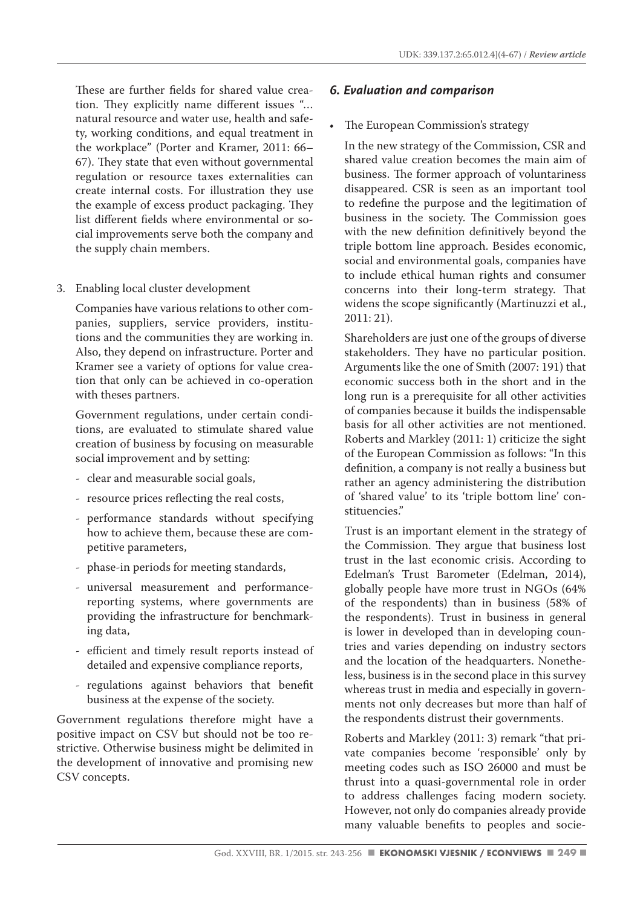These are further fields for shared value creation. They explicitly name different issues "… natural resource and water use, health and safety, working conditions, and equal treatment in the workplace" (Porter and Kramer, 2011: 66– 67). They state that even without governmental regulation or resource taxes externalities can create internal costs. For illustration they use the example of excess product packaging. They list different fields where environmental or social improvements serve both the company and the supply chain members.

3. Enabling local cluster development

Companies have various relations to other companies, suppliers, service providers, institutions and the communities they are working in. Also, they depend on infrastructure. Porter and Kramer see a variety of options for value creation that only can be achieved in co-operation with theses partners.

Government regulations, under certain conditions, are evaluated to stimulate shared value creation of business by focusing on measurable social improvement and by setting:

- clear and measurable social goals,
- resource prices reflecting the real costs,
- performance standards without specifying how to achieve them, because these are competitive parameters,
- phase-in periods for meeting standards,
- universal measurement and performancereporting systems, where governments are providing the infrastructure for benchmarking data,
- efficient and timely result reports instead of detailed and expensive compliance reports,
- regulations against behaviors that benefit business at the expense of the society.

Government regulations therefore might have a positive impact on CSV but should not be too restrictive. Otherwise business might be delimited in the development of innovative and promising new CSV concepts.

#### *6. Evaluation and comparison*

#### • The European Commission's strategy

In the new strategy of the Commission, CSR and shared value creation becomes the main aim of business. The former approach of voluntariness disappeared. CSR is seen as an important tool to redefine the purpose and the legitimation of business in the society. The Commission goes with the new definition definitively beyond the triple bottom line approach. Besides economic, social and environmental goals, companies have to include ethical human rights and consumer concerns into their long-term strategy. That widens the scope significantly (Martinuzzi et al., 2011: 21).

Shareholders are just one of the groups of diverse stakeholders. They have no particular position. Arguments like the one of Smith (2007: 191) that economic success both in the short and in the long run is a prerequisite for all other activities of companies because it builds the indispensable basis for all other activities are not mentioned. Roberts and Markley (2011: 1) criticize the sight of the European Commission as follows: "In this definition, a company is not really a business but rather an agency administering the distribution of 'shared value' to its 'triple bottom line' constituencies."

Trust is an important element in the strategy of the Commission. They argue that business lost trust in the last economic crisis. According to Edelman's Trust Barometer (Edelman, 2014), globally people have more trust in NGOs (64% of the respondents) than in business (58% of the respondents). Trust in business in general is lower in developed than in developing countries and varies depending on industry sectors and the location of the headquarters. Nonetheless, business is in the second place in this survey whereas trust in media and especially in governments not only decreases but more than half of the respondents distrust their governments.

Roberts and Markley (2011: 3) remark "that private companies become 'responsible' only by meeting codes such as ISO 26000 and must be thrust into a quasi-governmental role in order to address challenges facing modern society. However, not only do companies already provide many valuable benefits to peoples and socie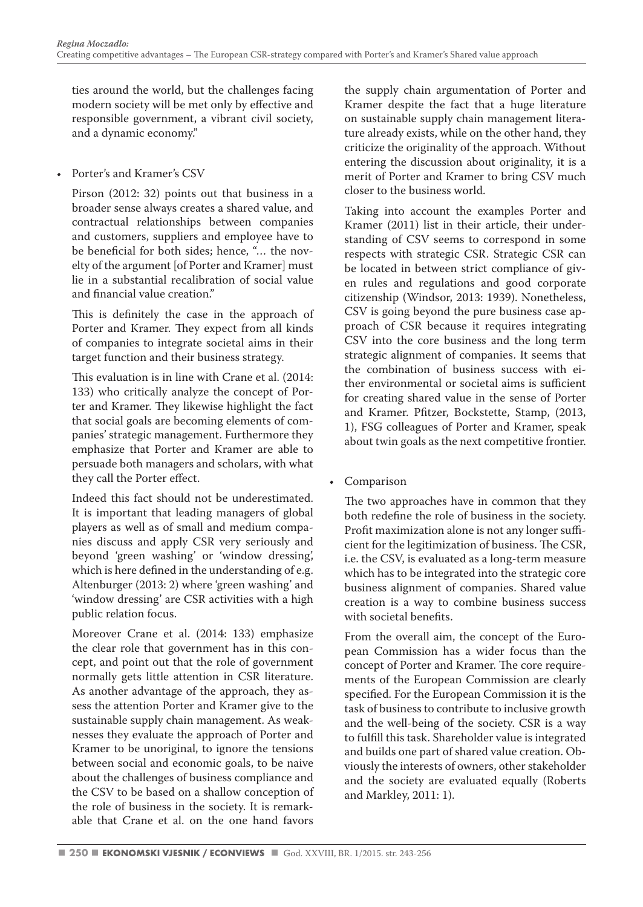ties around the world, but the challenges facing modern society will be met only by effective and responsible government, a vibrant civil society, and a dynamic economy."

#### • Porter's and Kramer's CSV

Pirson (2012: 32) points out that business in a broader sense always creates a shared value, and contractual relationships between companies and customers, suppliers and employee have to be beneficial for both sides; hence, "… the novelty of the argument [of Porter and Kramer] must lie in a substantial recalibration of social value and financial value creation."

This is definitely the case in the approach of Porter and Kramer. They expect from all kinds of companies to integrate societal aims in their target function and their business strategy.

This evaluation is in line with Crane et al. (2014: 133) who critically analyze the concept of Porter and Kramer. They likewise highlight the fact that social goals are becoming elements of companies' strategic management. Furthermore they emphasize that Porter and Kramer are able to persuade both managers and scholars, with what they call the Porter effect.

Indeed this fact should not be underestimated. It is important that leading managers of global players as well as of small and medium companies discuss and apply CSR very seriously and beyond 'green washing' or 'window dressing', which is here defined in the understanding of e.g. Altenburger (2013: 2) where 'green washing' and 'window dressing' are CSR activities with a high public relation focus.

Moreover Crane et al. (2014: 133) emphasize the clear role that government has in this concept, and point out that the role of government normally gets little attention in CSR literature. As another advantage of the approach, they assess the attention Porter and Kramer give to the sustainable supply chain management. As weaknesses they evaluate the approach of Porter and Kramer to be unoriginal, to ignore the tensions between social and economic goals, to be naive about the challenges of business compliance and the CSV to be based on a shallow conception of the role of business in the society. It is remarkable that Crane et al. on the one hand favors the supply chain argumentation of Porter and Kramer despite the fact that a huge literature on sustainable supply chain management literature already exists, while on the other hand, they criticize the originality of the approach. Without entering the discussion about originality, it is a merit of Porter and Kramer to bring CSV much closer to the business world.

Taking into account the examples Porter and Kramer (2011) list in their article, their understanding of CSV seems to correspond in some respects with strategic CSR. Strategic CSR can be located in between strict compliance of given rules and regulations and good corporate citizenship (Windsor, 2013: 1939). Nonetheless, CSV is going beyond the pure business case approach of CSR because it requires integrating CSV into the core business and the long term strategic alignment of companies. It seems that the combination of business success with either environmental or societal aims is sufficient for creating shared value in the sense of Porter and Kramer. Pfitzer, Bockstette, Stamp, (2013, 1), FSG colleagues of Porter and Kramer, speak about twin goals as the next competitive frontier.

• Comparison

The two approaches have in common that they both redefine the role of business in the society. Profit maximization alone is not any longer sufficient for the legitimization of business. The CSR, i.e. the CSV, is evaluated as a long-term measure which has to be integrated into the strategic core business alignment of companies. Shared value creation is a way to combine business success with societal benefits.

From the overall aim, the concept of the European Commission has a wider focus than the concept of Porter and Kramer. The core requirements of the European Commission are clearly specified. For the European Commission it is the task of business to contribute to inclusive growth and the well-being of the society. CSR is a way to fulfill this task. Shareholder value is integrated and builds one part of shared value creation. Obviously the interests of owners, other stakeholder and the society are evaluated equally (Roberts and Markley, 2011: 1).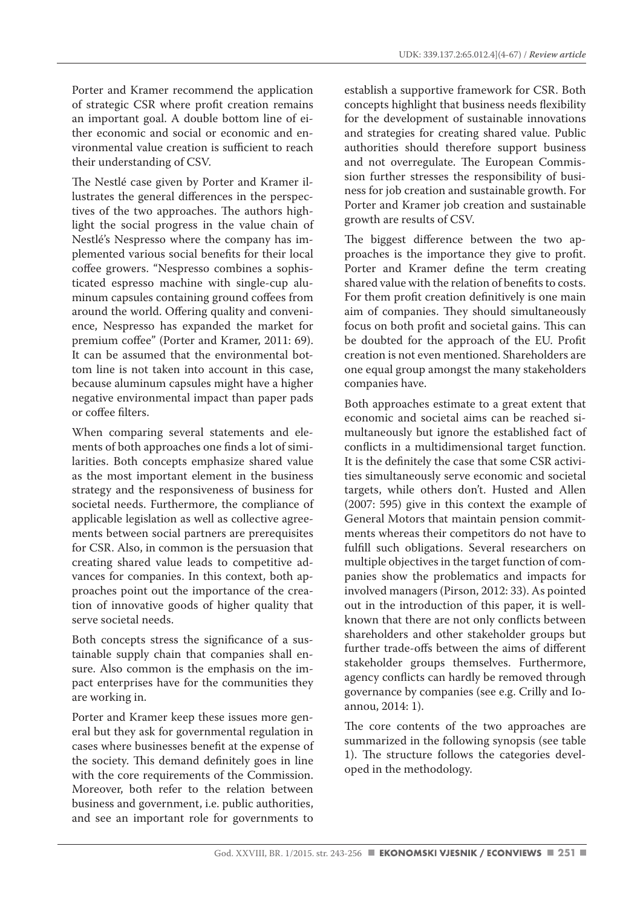Porter and Kramer recommend the application of strategic CSR where profit creation remains an important goal. A double bottom line of either economic and social or economic and environmental value creation is sufficient to reach their understanding of CSV.

The Nestlé case given by Porter and Kramer illustrates the general differences in the perspectives of the two approaches. The authors highlight the social progress in the value chain of Nestlé's Nespresso where the company has implemented various social benefits for their local coffee growers. "Nespresso combines a sophisticated espresso machine with single-cup aluminum capsules containing ground coffees from around the world. Offering quality and convenience, Nespresso has expanded the market for premium coffee" (Porter and Kramer, 2011: 69). It can be assumed that the environmental bottom line is not taken into account in this case, because aluminum capsules might have a higher negative environmental impact than paper pads or coffee filters.

When comparing several statements and elements of both approaches one finds a lot of similarities. Both concepts emphasize shared value as the most important element in the business strategy and the responsiveness of business for societal needs. Furthermore, the compliance of applicable legislation as well as collective agreements between social partners are prerequisites for CSR. Also, in common is the persuasion that creating shared value leads to competitive advances for companies. In this context, both approaches point out the importance of the creation of innovative goods of higher quality that serve societal needs.

Both concepts stress the significance of a sustainable supply chain that companies shall ensure. Also common is the emphasis on the impact enterprises have for the communities they are working in.

Porter and Kramer keep these issues more general but they ask for governmental regulation in cases where businesses benefit at the expense of the society. This demand definitely goes in line with the core requirements of the Commission. Moreover, both refer to the relation between business and government, i.e. public authorities, and see an important role for governments to establish a supportive framework for CSR. Both concepts highlight that business needs flexibility for the development of sustainable innovations and strategies for creating shared value. Public authorities should therefore support business and not overregulate. The European Commission further stresses the responsibility of business for job creation and sustainable growth. For Porter and Kramer job creation and sustainable growth are results of CSV.

The biggest difference between the two approaches is the importance they give to profit. Porter and Kramer define the term creating shared value with the relation of benefits to costs. For them profit creation definitively is one main aim of companies. They should simultaneously focus on both profit and societal gains. This can be doubted for the approach of the EU. Profit creation is not even mentioned. Shareholders are one equal group amongst the many stakeholders companies have.

Both approaches estimate to a great extent that economic and societal aims can be reached simultaneously but ignore the established fact of conflicts in a multidimensional target function. It is the definitely the case that some CSR activities simultaneously serve economic and societal targets, while others don't. Husted and Allen (2007: 595) give in this context the example of General Motors that maintain pension commitments whereas their competitors do not have to fulfill such obligations. Several researchers on multiple objectives in the target function of companies show the problematics and impacts for involved managers (Pirson, 2012: 33). As pointed out in the introduction of this paper, it is wellknown that there are not only conflicts between shareholders and other stakeholder groups but further trade-offs between the aims of different stakeholder groups themselves. Furthermore, agency conflicts can hardly be removed through governance by companies (see e.g. Crilly and Ioannou, 2014: 1).

The core contents of the two approaches are summarized in the following synopsis (see table 1). The structure follows the categories developed in the methodology.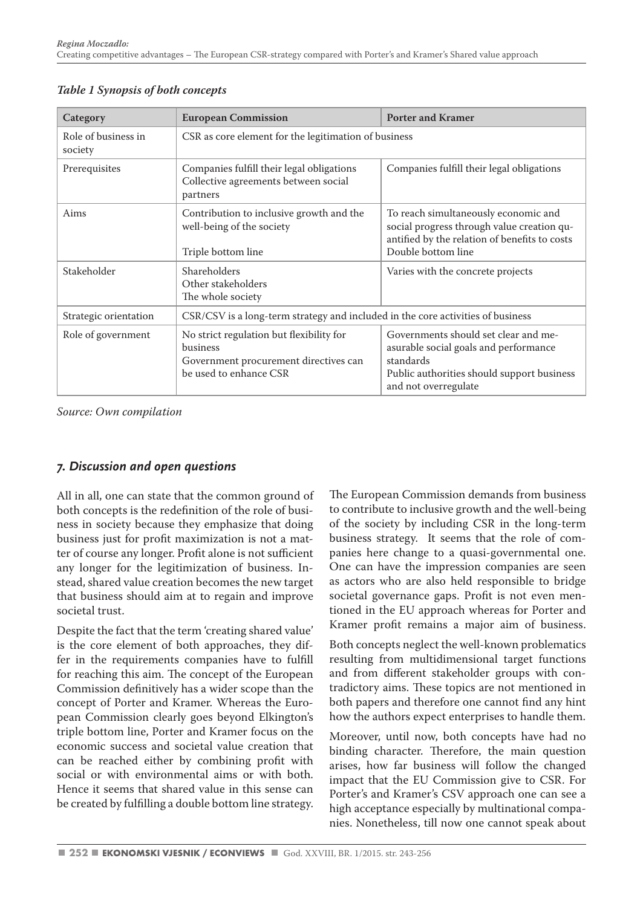| Category                       | <b>European Commission</b>                                                                                              | <b>Porter and Kramer</b>                                                                                                                                         |
|--------------------------------|-------------------------------------------------------------------------------------------------------------------------|------------------------------------------------------------------------------------------------------------------------------------------------------------------|
| Role of business in<br>society | CSR as core element for the legitimation of business                                                                    |                                                                                                                                                                  |
| Prerequisites                  | Companies fulfill their legal obligations<br>Collective agreements between social<br>partners                           | Companies fulfill their legal obligations                                                                                                                        |
| Aims                           | Contribution to inclusive growth and the<br>well-being of the society<br>Triple bottom line                             | To reach simultaneously economic and<br>social progress through value creation qu-<br>antified by the relation of benefits to costs<br>Double bottom line        |
| Stakeholder                    | Shareholders<br>Other stakeholders<br>The whole society                                                                 | Varies with the concrete projects                                                                                                                                |
| Strategic orientation          | CSR/CSV is a long-term strategy and included in the core activities of business                                         |                                                                                                                                                                  |
| Role of government             | No strict regulation but flexibility for<br>business<br>Government procurement directives can<br>be used to enhance CSR | Governments should set clear and me-<br>asurable social goals and performance<br>standards<br>Public authorities should support business<br>and not overregulate |

*Table 1 Synopsis of both concepts*

*Source: Own compilation*

#### *7. Discussion and open questions*

All in all, one can state that the common ground of both concepts is the redefinition of the role of business in society because they emphasize that doing business just for profit maximization is not a matter of course any longer. Profit alone is not sufficient any longer for the legitimization of business. Instead, shared value creation becomes the new target that business should aim at to regain and improve societal trust.

Despite the fact that the term 'creating shared value' is the core element of both approaches, they differ in the requirements companies have to fulfill for reaching this aim. The concept of the European Commission definitively has a wider scope than the concept of Porter and Kramer. Whereas the European Commission clearly goes beyond Elkington's triple bottom line, Porter and Kramer focus on the economic success and societal value creation that can be reached either by combining profit with social or with environmental aims or with both. Hence it seems that shared value in this sense can be created by fulfilling a double bottom line strategy.

The European Commission demands from business to contribute to inclusive growth and the well-being of the society by including CSR in the long-term business strategy. It seems that the role of companies here change to a quasi-governmental one. One can have the impression companies are seen as actors who are also held responsible to bridge societal governance gaps. Profit is not even mentioned in the EU approach whereas for Porter and Kramer profit remains a major aim of business.

Both concepts neglect the well-known problematics resulting from multidimensional target functions and from different stakeholder groups with contradictory aims. These topics are not mentioned in both papers and therefore one cannot find any hint how the authors expect enterprises to handle them.

Moreover, until now, both concepts have had no binding character. Therefore, the main question arises, how far business will follow the changed impact that the EU Commission give to CSR. For Porter's and Kramer's CSV approach one can see a high acceptance especially by multinational companies. Nonetheless, till now one cannot speak about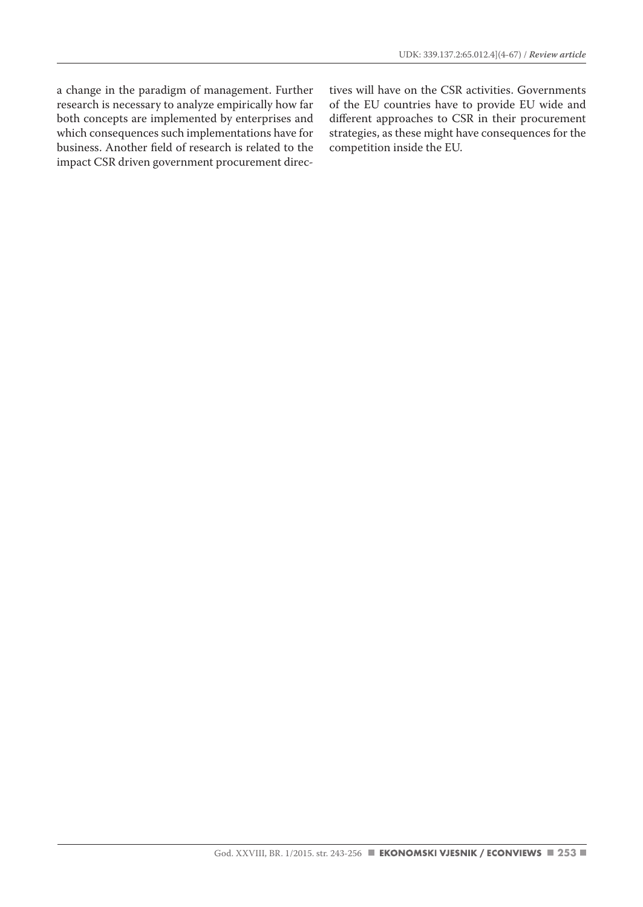a change in the paradigm of management. Further research is necessary to analyze empirically how far both concepts are implemented by enterprises and which consequences such implementations have for business. Another field of research is related to the impact CSR driven government procurement directives will have on the CSR activities. Governments of the EU countries have to provide EU wide and different approaches to CSR in their procurement strategies, as these might have consequences for the competition inside the EU.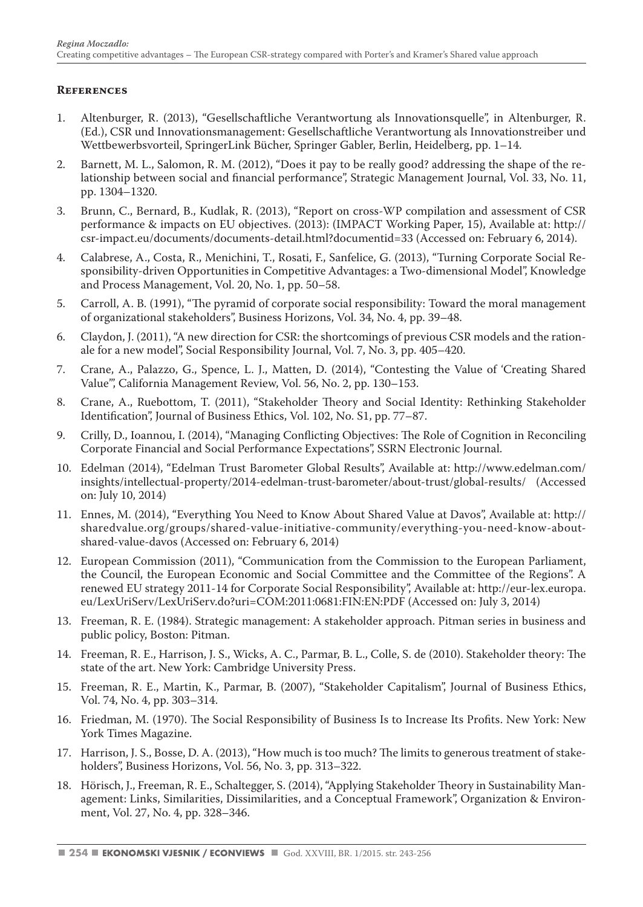#### **References**

- 1. Altenburger, R. (2013), "Gesellschaftliche Verantwortung als Innovationsquelle", in Altenburger, R. (Ed.), CSR und Innovationsmanagement: Gesellschaftliche Verantwortung als Innovationstreiber und Wettbewerbsvorteil, SpringerLink Bücher, Springer Gabler, Berlin, Heidelberg, pp. 1–14.
- 2. Barnett, M. L., Salomon, R. M. (2012), "Does it pay to be really good? addressing the shape of the relationship between social and financial performance", Strategic Management Journal, Vol. 33, No. 11, pp. 1304–1320.
- 3. Brunn, C., Bernard, B., Kudlak, R. (2013), "Report on cross-WP compilation and assessment of CSR performance & impacts on EU objectives. (2013): (IMPACT Working Paper, 15), Available at: http:// csr-impact.eu/documents/documents-detail.html?documentid=33 (Accessed on: February 6, 2014).
- 4. Calabrese, A., Costa, R., Menichini, T., Rosati, F., Sanfelice, G. (2013), "Turning Corporate Social Responsibility-driven Opportunities in Competitive Advantages: a Two-dimensional Model", Knowledge and Process Management, Vol. 20, No. 1, pp. 50–58.
- 5. Carroll, A. B. (1991), "The pyramid of corporate social responsibility: Toward the moral management of organizational stakeholders", Business Horizons, Vol. 34, No. 4, pp. 39–48.
- 6. Claydon, J. (2011), "A new direction for CSR: the shortcomings of previous CSR models and the rationale for a new model", Social Responsibility Journal, Vol. 7, No. 3, pp. 405–420.
- 7. Crane, A., Palazzo, G., Spence, L. J., Matten, D. (2014), "Contesting the Value of 'Creating Shared Value'", California Management Review, Vol. 56, No. 2, pp. 130–153.
- 8. Crane, A., Ruebottom, T. (2011), "Stakeholder Theory and Social Identity: Rethinking Stakeholder Identification", Journal of Business Ethics, Vol. 102, No. S1, pp. 77–87.
- 9. Crilly, D., Ioannou, I. (2014), "Managing Conflicting Objectives: The Role of Cognition in Reconciling Corporate Financial and Social Performance Expectations", SSRN Electronic Journal.
- 10. Edelman (2014), "Edelman Trust Barometer Global Results", Available at: http://www.edelman.com/ insights/intellectual-property/2014-edelman-trust-barometer/about-trust/global-results/ (Accessed on: July 10, 2014)
- 11. Ennes, M. (2014), "Everything You Need to Know About Shared Value at Davos", Available at: http:// sharedvalue.org/groups/shared-value-initiative-community/everything-you-need-know-aboutshared-value-davos (Accessed on: February 6, 2014)
- 12. European Commission (2011), "Communication from the Commission to the European Parliament, the Council, the European Economic and Social Committee and the Committee of the Regions". A renewed EU strategy 2011-14 for Corporate Social Responsibility", Available at: http://eur-lex.europa. eu/LexUriServ/LexUriServ.do?uri=COM:2011:0681:FIN:EN:PDF (Accessed on: July 3, 2014)
- 13. Freeman, R. E. (1984). Strategic management: A stakeholder approach. Pitman series in business and public policy, Boston: Pitman.
- 14. Freeman, R. E., Harrison, J. S., Wicks, A. C., Parmar, B. L., Colle, S. de (2010). Stakeholder theory: The state of the art. New York: Cambridge University Press.
- 15. Freeman, R. E., Martin, K., Parmar, B. (2007), "Stakeholder Capitalism", Journal of Business Ethics, Vol. 74, No. 4, pp. 303–314.
- 16. Friedman, M. (1970). The Social Responsibility of Business Is to Increase Its Profits. New York: New York Times Magazine.
- 17. Harrison, J. S., Bosse, D. A. (2013), "How much is too much? The limits to generous treatment of stakeholders", Business Horizons, Vol. 56, No. 3, pp. 313–322.
- 18. Hörisch, J., Freeman, R. E., Schaltegger, S. (2014), "Applying Stakeholder Theory in Sustainability Management: Links, Similarities, Dissimilarities, and a Conceptual Framework", Organization & Environment, Vol. 27, No. 4, pp. 328–346.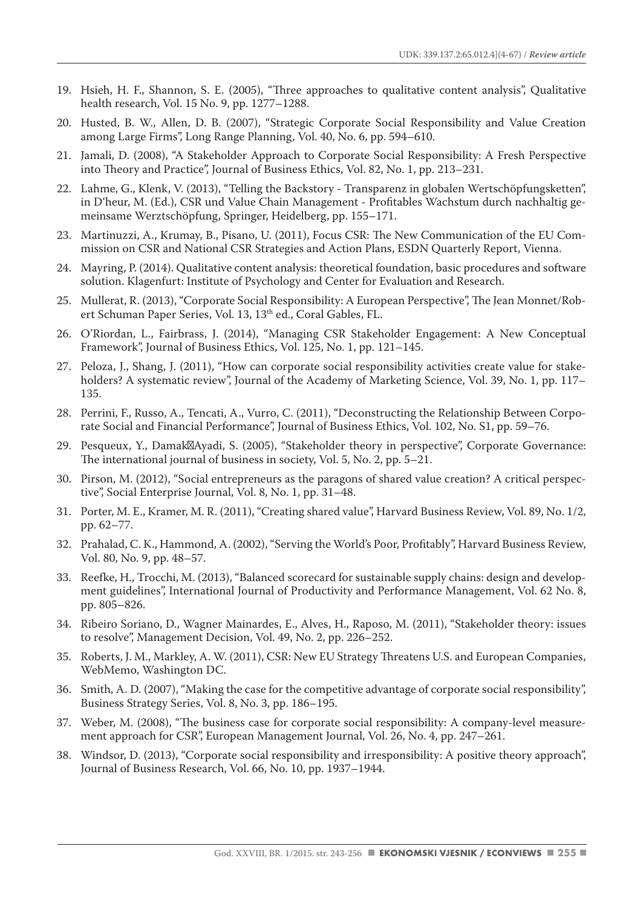- 19. Hsieh, H. F., Shannon, S. E. (2005), "Three approaches to qualitative content analysis", Qualitative health research, Vol. 15 No. 9, pp. 1277–1288.
- 20. Husted, B. W., Allen, D. B. (2007), "Strategic Corporate Social Responsibility and Value Creation among Large Firms", Long Range Planning, Vol. 40, No. 6, pp. 594–610.
- 21. Jamali, D. (2008), "A Stakeholder Approach to Corporate Social Responsibility: A Fresh Perspective into Theory and Practice", Journal of Business Ethics, Vol. 82, No. 1, pp. 213–231.
- 22. Lahme, G., Klenk, V. (2013), "Telling the Backstory Transparenz in globalen Wertschöpfungsketten", in D'heur, M. (Ed.), CSR und Value Chain Management - Profitables Wachstum durch nachhaltig gemeinsame Werztschöpfung, Springer, Heidelberg, pp. 155–171.
- 23. Martinuzzi, A., Krumay, B., Pisano, U. (2011), Focus CSR: The New Communication of the EU Commission on CSR and National CSR Strategies and Action Plans, ESDN Quarterly Report, Vienna.
- 24. Mayring, P. (2014). Qualitative content analysis: theoretical foundation, basic procedures and software solution. Klagenfurt: Institute of Psychology and Center for Evaluation and Research.
- 25. Mullerat, R. (2013), "Corporate Social Responsibility: A European Perspective", The Jean Monnet/Robert Schuman Paper Series, Vol. 13, 13<sup>th</sup> ed., Coral Gables, FL.
- 26. O'Riordan, L., Fairbrass, J. (2014), "Managing CSR Stakeholder Engagement: A New Conceptual Framework", Journal of Business Ethics, Vol. 125, No. 1, pp. 121–145.
- 27. Peloza, J., Shang, J. (2011), "How can corporate social responsibility activities create value for stakeholders? A systematic review", Journal of the Academy of Marketing Science, Vol. 39, No. 1, pp. 117– 135.
- 28. Perrini, F., Russo, A., Tencati, A., Vurro, C. (2011), "Deconstructing the Relationship Between Corporate Social and Financial Performance", Journal of Business Ethics, Vol. 102, No. S1, pp. 59–76.
- 29. Pesqueux, Y., Damak Ayadi, S. (2005), "Stakeholder theory in perspective", Corporate Governance: The international journal of business in society, Vol. 5, No. 2, pp. 5–21.
- 30. Pirson, M. (2012), "Social entrepreneurs as the paragons of shared value creation? A critical perspective", Social Enterprise Journal, Vol. 8, No. 1, pp. 31–48.
- 31. Porter, M. E., Kramer, M. R. (2011), "Creating shared value", Harvard Business Review, Vol. 89, No. 1/2, pp. 62–77.
- 32. Prahalad, C. K., Hammond, A. (2002), "Serving the World's Poor, Profitably", Harvard Business Review, Vol. 80, No. 9, pp. 48–57.
- 33. Reefke, H., Trocchi, M. (2013), "Balanced scorecard for sustainable supply chains: design and development guidelines", International Journal of Productivity and Performance Management, Vol. 62 No. 8, pp. 805–826.
- 34. Ribeiro Soriano, D., Wagner Mainardes, E., Alves, H., Raposo, M. (2011), "Stakeholder theory: issues to resolve", Management Decision, Vol. 49, No. 2, pp. 226–252.
- 35. Roberts, J. M., Markley, A. W. (2011), CSR: New EU Strategy Threatens U.S. and European Companies, WebMemo, Washington DC.
- 36. Smith, A. D. (2007), "Making the case for the competitive advantage of corporate social responsibility", Business Strategy Series, Vol. 8, No. 3, pp. 186–195.
- 37. Weber, M. (2008), "The business case for corporate social responsibility: A company-level measurement approach for CSR", European Management Journal, Vol. 26, No. 4, pp. 247–261.
- 38. Windsor, D. (2013), "Corporate social responsibility and irresponsibility: A positive theory approach", Journal of Business Research, Vol. 66, No. 10, pp. 1937–1944.